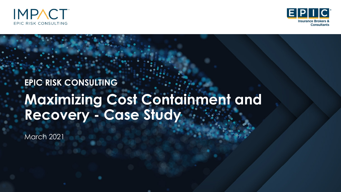



# **Maximizing Cost Containment and Recovery - Case Study EPIC RISK CONSULTING**

March 2021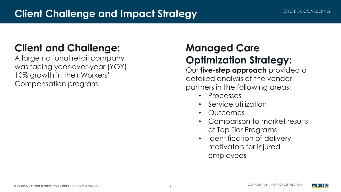# **Client and Challenge:**

A large national retail company was facing year-over-year (YOY) 10% growth in their Workers' Compensation program

# **Managed Care Optimization Strategy:**

Our **five-step approach** provided a detailed analysis of the vendor partners in the following areas:

- Processes
- Service utilization
- Outcomes
- Comparison to market results of Top Tier Programs
- Identification of delivery motivators for injured employees

EPILC